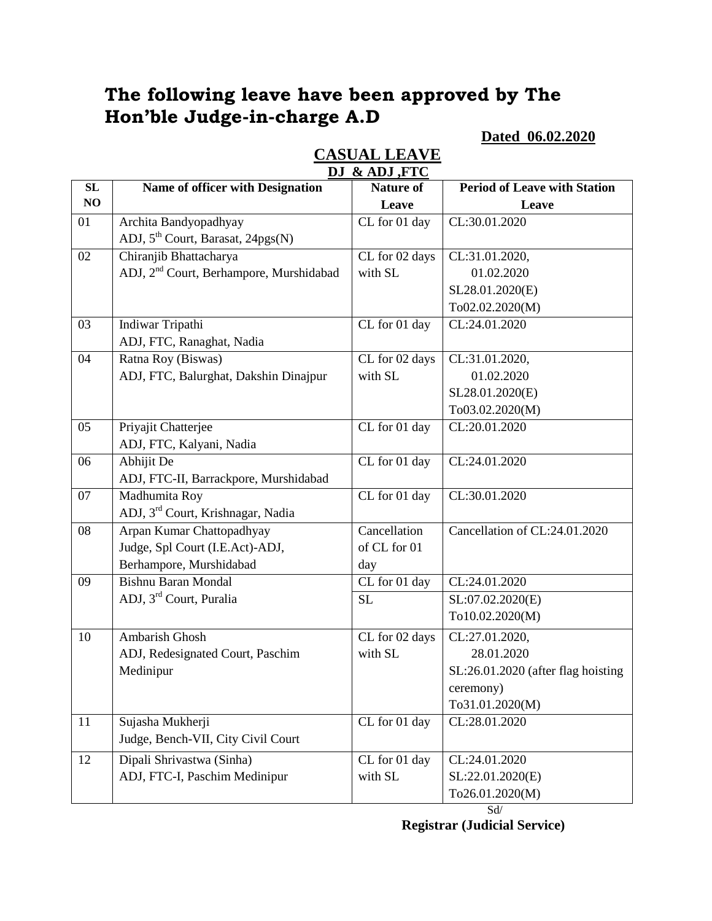# **The following leave have been approved by The Hon'ble Judge-in-charge A.D**

**Dated 06.02.2020**

|    | DJ & ADJ, FTC                                       |                  |                                     |  |  |
|----|-----------------------------------------------------|------------------|-------------------------------------|--|--|
| SL | Name of officer with Designation                    | <b>Nature of</b> | <b>Period of Leave with Station</b> |  |  |
| NO |                                                     | Leave            | Leave                               |  |  |
| 01 | Archita Bandyopadhyay                               | CL for 01 day    | CL:30.01.2020                       |  |  |
|    | ADJ, 5 <sup>th</sup> Court, Barasat, 24pgs(N)       |                  |                                     |  |  |
| 02 | Chiranjib Bhattacharya                              | CL for 02 days   | CL:31.01.2020,                      |  |  |
|    | ADJ, 2 <sup>nd</sup> Court, Berhampore, Murshidabad | with SL          | 01.02.2020                          |  |  |
|    |                                                     |                  | SL28.01.2020(E)                     |  |  |
|    |                                                     |                  | To02.02.2020(M)                     |  |  |
| 03 | Indiwar Tripathi                                    | CL for 01 day    | CL:24.01.2020                       |  |  |
|    | ADJ, FTC, Ranaghat, Nadia                           |                  |                                     |  |  |
| 04 | Ratna Roy (Biswas)                                  | CL for 02 days   | CL:31.01.2020,                      |  |  |
|    | ADJ, FTC, Balurghat, Dakshin Dinajpur               | with SL          | 01.02.2020                          |  |  |
|    |                                                     |                  | SL28.01.2020(E)                     |  |  |
|    |                                                     |                  | To03.02.2020(M)                     |  |  |
| 05 | Priyajit Chatterjee                                 | CL for 01 day    | CL:20.01.2020                       |  |  |
|    | ADJ, FTC, Kalyani, Nadia                            |                  |                                     |  |  |
| 06 | Abhijit De                                          | CL for 01 day    | CL:24.01.2020                       |  |  |
|    | ADJ, FTC-II, Barrackpore, Murshidabad               |                  |                                     |  |  |
| 07 | Madhumita Roy                                       | CL for 01 day    | CL:30.01.2020                       |  |  |
|    | ADJ, 3 <sup>rd</sup> Court, Krishnagar, Nadia       |                  |                                     |  |  |
| 08 | Arpan Kumar Chattopadhyay                           | Cancellation     | Cancellation of CL:24.01.2020       |  |  |
|    | Judge, Spl Court (I.E.Act)-ADJ,                     | of CL for 01     |                                     |  |  |
|    | Berhampore, Murshidabad                             | day              |                                     |  |  |
| 09 | Bishnu Baran Mondal                                 | CL for 01 day    | CL:24.01.2020                       |  |  |
|    | ADJ, 3 <sup>rd</sup> Court, Puralia                 | <b>SL</b>        | SL:07.02.2020(E)                    |  |  |
|    |                                                     |                  | To10.02.2020(M)                     |  |  |
| 10 | Ambarish Ghosh                                      | CL for 02 days   | CL:27.01.2020,                      |  |  |
|    | ADJ, Redesignated Court, Paschim                    | with SL          | 28.01.2020                          |  |  |
|    | Medinipur                                           |                  | SL:26.01.2020 (after flag hoisting  |  |  |
|    |                                                     |                  | ceremony)                           |  |  |
|    |                                                     |                  | To31.01.2020(M)                     |  |  |
| 11 | Sujasha Mukherji                                    | CL for 01 day    | CL:28.01.2020                       |  |  |
|    | Judge, Bench-VII, City Civil Court                  |                  |                                     |  |  |
| 12 | Dipali Shrivastwa (Sinha)                           | CL for 01 day    | CL:24.01.2020                       |  |  |
|    | ADJ, FTC-I, Paschim Medinipur                       | with SL          | SL:22.01.2020(E)                    |  |  |
|    |                                                     |                  | To26.01.2020(M)                     |  |  |
|    |                                                     |                  | Sd/                                 |  |  |

# **CASUAL LEAVE**

**Registrar (Judicial Service)**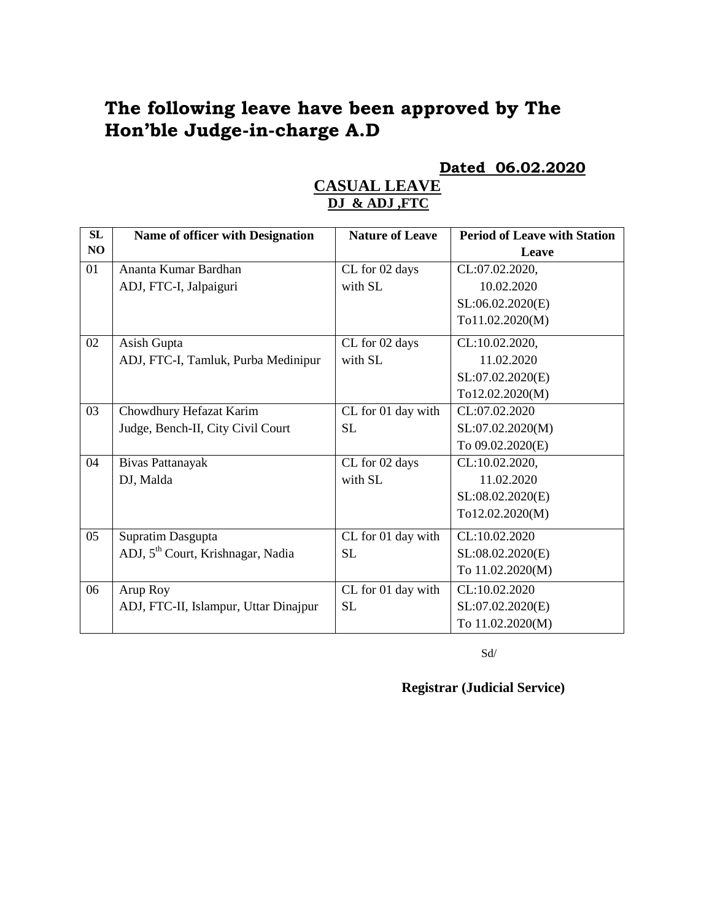# **The following leave have been approved by The Hon'ble Judge-in-charge A.D**

# **Dated 06.02.2020**

| SL | <b>Name of officer with Designation</b>       | <b>Nature of Leave</b> | <b>Period of Leave with Station</b> |
|----|-----------------------------------------------|------------------------|-------------------------------------|
| NO |                                               |                        | Leave                               |
|    |                                               |                        |                                     |
| 01 | Ananta Kumar Bardhan                          | CL for 02 days         | CL:07.02.2020,                      |
|    | ADJ, FTC-I, Jalpaiguri                        | with SL                | 10.02.2020                          |
|    |                                               |                        | SL:06.02.2020(E)                    |
|    |                                               |                        | To11.02.2020(M)                     |
| 02 | Asish Gupta                                   | CL for 02 days         | CL:10.02.2020,                      |
|    | ADJ, FTC-I, Tamluk, Purba Medinipur           | with SL                | 11.02.2020                          |
|    |                                               |                        | SL:07.02.2020(E)                    |
|    |                                               |                        | To12.02.2020(M)                     |
| 03 | Chowdhury Hefazat Karim                       | CL for 01 day with     | CL:07.02.2020                       |
|    | Judge, Bench-II, City Civil Court             | <b>SL</b>              | SL:07.02.2020(M)                    |
|    |                                               |                        | To 09.02.2020(E)                    |
| 04 | Bivas Pattanayak                              | CL for 02 days         | CL:10.02.2020,                      |
|    | DJ, Malda                                     | with SL                | 11.02.2020                          |
|    |                                               |                        | SL:08.02.2020(E)                    |
|    |                                               |                        | To12.02.2020(M)                     |
| 05 | Supratim Dasgupta                             | CL for 01 day with     | CL:10.02.2020                       |
|    | ADJ, 5 <sup>th</sup> Court, Krishnagar, Nadia | <b>SL</b>              | SL:08.02.2020(E)                    |
|    |                                               |                        | To 11.02.2020(M)                    |
| 06 | Arup Roy                                      | CL for 01 day with     | CL:10.02.2020                       |
|    | ADJ, FTC-II, Islampur, Uttar Dinajpur         | <b>SL</b>              | SL:07.02.2020(E)                    |
|    |                                               |                        | To 11.02.2020(M)                    |

#### **CASUAL LEAVE DJ & ADJ ,FTC**

Sd/

**Registrar (Judicial Service)**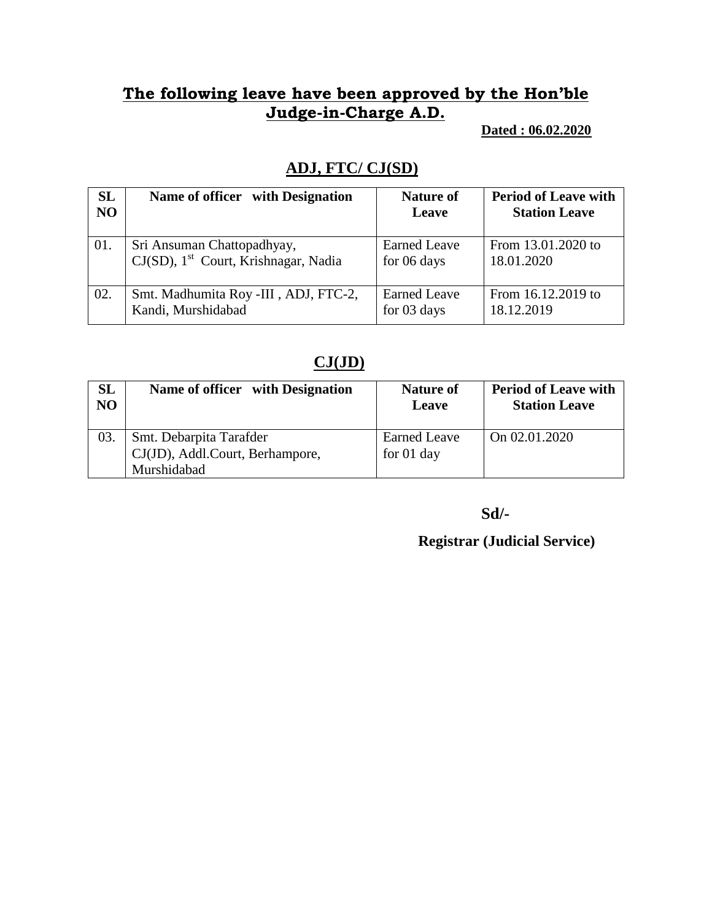# **The following leave have been approved by the Hon'ble Judge-in-Charge A.D.**

**Dated : 06.02.2020**

#### **ADJ, FTC/ CJ(SD)**

| <b>SL</b>      | Name of officer with Designation                 | <b>Nature of</b>    | <b>Period of Leave with</b> |
|----------------|--------------------------------------------------|---------------------|-----------------------------|
| N <sub>O</sub> |                                                  | Leave               | <b>Station Leave</b>        |
| 01.            | Sri Ansuman Chattopadhyay,                       | <b>Earned Leave</b> | From 13.01.2020 to          |
|                | CJ(SD), 1 <sup>st</sup> Court, Krishnagar, Nadia | for 06 days         | 18.01.2020                  |
| 02.            | Smt. Madhumita Roy -III, ADJ, FTC-2,             | <b>Earned Leave</b> | From 16.12.2019 to          |
|                | Kandi, Murshidabad                               | for 03 days         | 18.12.2019                  |

## **CJ(JD)**

| SL<br>N <sub>O</sub> | Name of officer with Designation | <b>Nature of</b><br>Leave | <b>Period of Leave with</b><br><b>Station Leave</b> |
|----------------------|----------------------------------|---------------------------|-----------------------------------------------------|
| 03.                  | Smt. Debarpita Tarafder          | <b>Earned Leave</b>       | On 02.01.2020                                       |
|                      | CJ(JD), Addl.Court, Berhampore,  | for $01$ day              |                                                     |
|                      | Murshidabad                      |                           |                                                     |

**Sd/-**

 **Registrar (Judicial Service)**